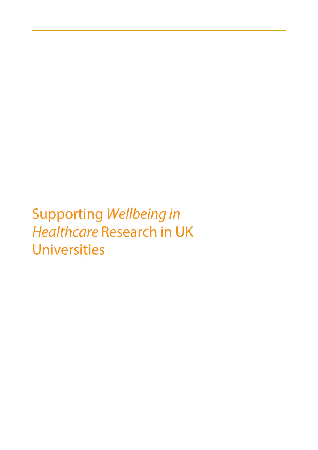**Supporting Wellbeing in Healthcare Research in UK Universities**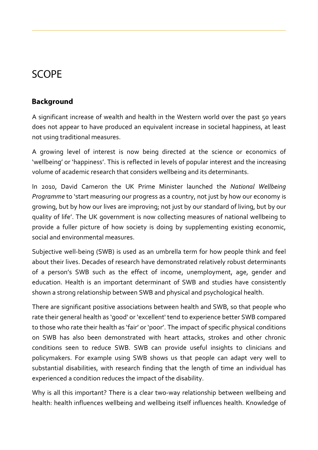# **SCOPE**

# **Background**

A significant increase of wealth and health in the Western world over the past 50 years does not appear to have produced an equivalent increase in societal happiness, at least not using traditional measures.

A growing level of interest is now being directed at the science or economics of 'wellbeing' or 'happiness'. This is reflected in levels of popular interest and the increasing volume of academic research that considers wellbeing and its determinants.

In 2010, David Cameron the UK Prime Minister launched the *National Wellbeing Programme* to 'start measuring our progress as a country, not just by how our economy is growing, but by how our lives are improving; not just by our standard of living, but by our quality of life'. The UK government is now collecting measures of national wellbeing to provide a fuller picture of how society is doing by supplementing existing economic, social and environmental measures.

Subjective well-being (SWB) is used as an umbrella term for how people think and feel about their lives. Decades of research have demonstrated relatively robust determinants of a person's SWB such as the effect of income, unemployment, age, gender and education. Health is an important determinant of SWB and studies have consistently shown a strong relationship between SWB and physical and psychological health.

There are significant positive associations between health and SWB, so that people who rate their general health as 'good' or 'excellent' tend to experience better SWB compared to those who rate their health as 'fair' or 'poor'. The impact of specific physical conditions on SWB has also been demonstrated with heart attacks, strokes and other chronic conditions seen to reduce SWB. SWB can provide useful insights to clinicians and policymakers. For example using SWB shows us that people can adapt very well to substantial disabilities, with research finding that the length of time an individual has experienced a condition reduces the impact of the disability.

Why is all this important? There is a clear two-way relationship between wellbeing and health: health influences wellbeing and wellbeing itself influences health. Knowledge of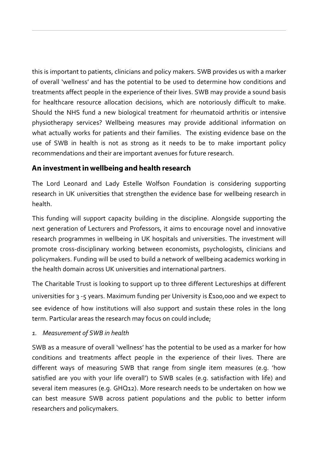this is important to patients, clinicians and policy makers. SWB provides us with a marker of overall 'wellness' and has the potential to be used to determine how conditions and treatments affect people in the experience of their lives. SWB may provide a sound basis for healthcare resource allocation decisions, which are notoriously difficult to make. Should the NHS fund a new biological treatment for rheumatoid arthritis or intensive physiotherapy services? Wellbeing measures may provide additional information on what actually works for patients and their families. The existing evidence base on the use of SWB in health is not as strong as it needs to be to make important policy recommendations and their are important avenues for future research.

## An investment in wellbeing and health research

The Lord Leonard and Lady Estelle Wolfson Foundation is considering supporting research in UK universities that strengthen the evidence base for wellbeing research in health.

This funding will support capacity building in the discipline. Alongside supporting the next generation of Lecturers and Professors, it aims to encourage novel and innovative research programmes in wellbeing in UK hospitals and universities. The investment will promote cross-disciplinary working between economists, psychologists, clinicians and policymakers. Funding will be used to build a network of wellbeing academics working in the health domain across UK universities and international partners.

The Charitable Trust is looking to support up to three different Lectureships at different universities for  $3 - 5$  years. Maximum funding per University is £100,000 and we expect to see evidence of how institutions will also support and sustain these roles in the long term. Particular areas the research may focus on could include;

#### *1. Measurement of SWB in health*

SWB as a measure of overall 'wellness' has the potential to be used as a marker for how conditions and treatments affect people in the experience of their lives. There are different ways of measuring SWB that range from single item measures (e.g. 'how satisfied are you with your life overall') to SWB scales (e.g. satisfaction with life) and several item measures (e.g. GHQ12). More research needs to be undertaken on how we can best measure SWB across patient populations and the public to better inform researchers and policymakers.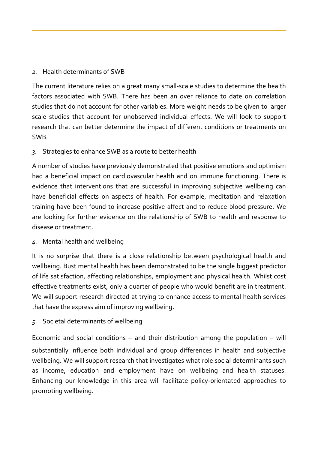#### *2.* Health determinants of SWB

The current literature relies on a great many small-scale studies to determine the health factors associated with SWB. There has been an over reliance to date on correlation studies that do not account for other variables. More weight needs to be given to larger scale studies that account for unobserved individual effects. We will look to support research that can better determine the impact of different conditions or treatments on SWB.

#### *3.* Strategies to enhance SWB as a route to better health

A number of studies have previously demonstrated that positive emotions and optimism had a beneficial impact on cardiovascular health and on immune functioning. There is evidence that interventions that are successful in improving subjective wellbeing can have beneficial effects on aspects of health. For example, meditation and relaxation training have been found to increase positive affect and to reduce blood pressure. We are looking for further evidence on the relationship of SWB to health and response to disease or treatment.

#### *4.* Mental health and wellbeing

It is no surprise that there is a close relationship between psychological health and wellbeing. Bust mental health has been demonstrated to be the single biggest predictor of life satisfaction, affecting relationships, employment and physical health. Whilst cost effective treatments exist, only a quarter of people who would benefit are in treatment. We will support research directed at trying to enhance access to mental health services that have the express aim of improving wellbeing.

#### *5.* Societal determinants of wellbeing

Economic and social conditions – and their distribution among the population – will substantially influence both individual and group differences in health and subjective wellbeing. We will support research that investigates what role social determinants such as income, education and employment have on wellbeing and health statuses. Enhancing our knowledge in this area will facilitate policy-orientated approaches to promoting wellbeing.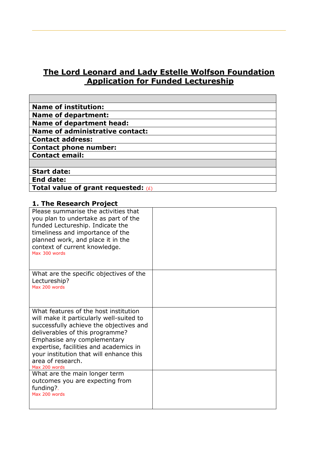## **The Lord Leonard and Lady Estelle Wolfson Foundation Application for Funded Lectureship**

| <b>Name of institution:</b>            |
|----------------------------------------|
| <b>Name of department:</b>             |
| <b>Name of department head:</b>        |
| <b>Name of administrative contact:</b> |
| <b>Contact address:</b>                |
| <b>Contact phone number:</b>           |
| <b>Contact email:</b>                  |
|                                        |
| <b>Start date:</b>                     |
| <b>End date:</b>                       |
| Total value of grant requested: $(E)$  |

#### **1. The Research Project**

| Please summarise the activities that<br>you plan to undertake as part of the<br>funded Lectureship. Indicate the<br>timeliness and importance of the<br>planned work, and place it in the<br>context of current knowledge.<br>Max 300 words                                                                               |  |
|---------------------------------------------------------------------------------------------------------------------------------------------------------------------------------------------------------------------------------------------------------------------------------------------------------------------------|--|
| What are the specific objectives of the<br>Lectureship?<br>Max 200 words                                                                                                                                                                                                                                                  |  |
| What features of the host institution<br>will make it particularly well-suited to<br>successfully achieve the objectives and<br>deliverables of this programme?<br>Emphasise any complementary<br>expertise, facilities and academics in<br>your institution that will enhance this<br>area of research.<br>Max 200 words |  |
| What are the main longer term<br>outcomes you are expecting from<br>funding?.<br>Max 200 words                                                                                                                                                                                                                            |  |